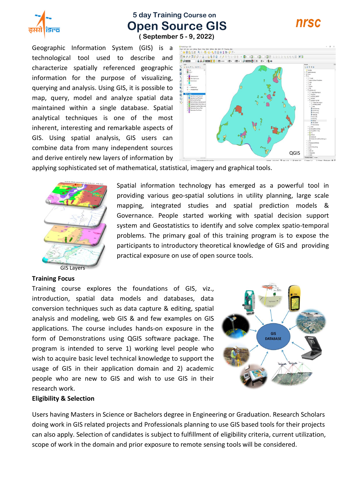

# **5 day Training Course on Open Source GIS**



 **( September 5 - 9, 2022)**

Geographic Information System (GIS) is a technological tool used to describe and characterize spatially referenced geographic information for the purpose of visualizing, querying and analysis. Using GIS, it is possible to map, query, model and analyze spatial data maintained within a single database. Spatial analytical techniques is one of the most inherent, interesting and remarkable aspects of GIS. Using spatial analysis, GIS users can combine data from many independent sources and derive entirely new layers of information by



applying sophisticated set of mathematical, statistical, imagery and graphical tools.



Spatial information technology has emerged as a powerful tool in providing various geo-spatial solutions in utility planning, large scale mapping, integrated studies and spatial prediction models & Governance. People started working with spatial decision support system and Geostatistics to identify and solve complex spatio-temporal problems. The primary goal of this training program is to expose the participants to introductory theoretical knowledge of GIS and providing practical exposure on use of open source tools.

#### **Training Focus**

Training course explores the foundations of GIS, viz., introduction, spatial data models and databases, data conversion techniques such as data capture & editing, spatial analysis and modeling, web GIS & and few examples on GIS applications. The course includes hands-on exposure in the form of Demonstrations using QGIS software package. The program is intended to serve 1) working level people who wish to acquire basic level technical knowledge to support the usage of GIS in their application domain and 2) academic people who are new to GIS and wish to use GIS in their research work.



#### **Eligibility & Selection**

Users having Masters in Science or Bachelors degree in Engineering or Graduation. Research Scholars doing work in GIS related projects and Professionals planning to use GIS based tools for their projects can also apply. Selection of candidates is subject to fulfillment of eligibility criteria, current utilization, scope of work in the domain and prior exposure to remote sensing tools will be considered.